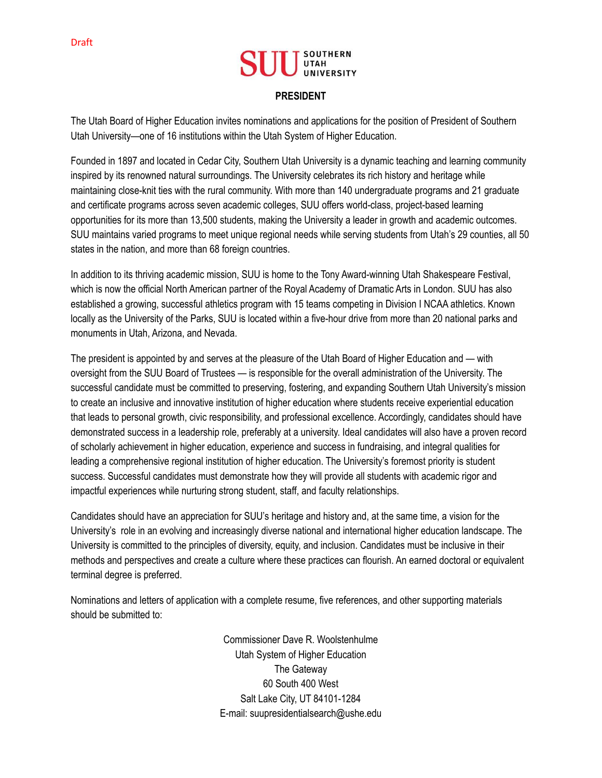## **PRESIDENT**

The Utah Board of Higher Education invites nominations and applications for the position of President of Southern Utah University—one of 16 institutions within the Utah System of Higher Education.

Founded in 1897 and located in Cedar City, Southern Utah University is a dynamic teaching and learning community inspired by its renowned natural surroundings. The University celebrates its rich history and heritage while maintaining close-knit ties with the rural community. With more than 140 undergraduate programs and 21 graduate and certificate programs across seven academic colleges, SUU offers world-class, project-based learning opportunities for its more than 13,500 students, making the University a leader in growth and academic outcomes. SUU maintains varied programs to meet unique regional needs while serving students from Utah's 29 counties, all 50 states in the nation, and more than 68 foreign countries.

In addition to its thriving academic mission, SUU is home to the Tony Award-winning Utah Shakespeare Festival, which is now the official North American partner of the Royal Academy of Dramatic Arts in London. SUU has also established a growing, successful athletics program with 15 teams competing in Division I NCAA athletics. Known locally as the University of the Parks, SUU is located within a five-hour drive from more than 20 national parks and monuments in Utah, Arizona, and Nevada.

The president is appointed by and serves at the pleasure of the Utah Board of Higher Education and — with oversight from the SUU Board of Trustees — is responsible for the overall administration of the University. The successful candidate must be committed to preserving, fostering, and expanding Southern Utah University's mission to create an inclusive and innovative institution of higher education where students receive experiential education that leads to personal growth, civic responsibility, and professional excellence. Accordingly, candidates should have demonstrated success in a leadership role, preferably at a university. Ideal candidates will also have a proven record of scholarly achievement in higher education, experience and success in fundraising, and integral qualities for leading a comprehensive regional institution of higher education. The University's foremost priority is student success. Successful candidates must demonstrate how they will provide all students with academic rigor and impactful experiences while nurturing strong student, staff, and faculty relationships.

Candidates should have an appreciation for SUU's heritage and history and, at the same time, a vision for the University's role in an evolving and increasingly diverse national and international higher education landscape. The University is committed to the principles of diversity, equity, and inclusion. Candidates must be inclusive in their methods and perspectives and create a culture where these practices can flourish. An earned doctoral or equivalent terminal degree is preferred.

Nominations and letters of application with a complete resume, five references, and other supporting materials should be submitted to:

> Commissioner Dave R. Woolstenhulme Utah System of Higher Education The Gateway 60 South 400 West Salt Lake City, UT 84101-1284 E-mail: suupresidentialsearch@ushe.edu